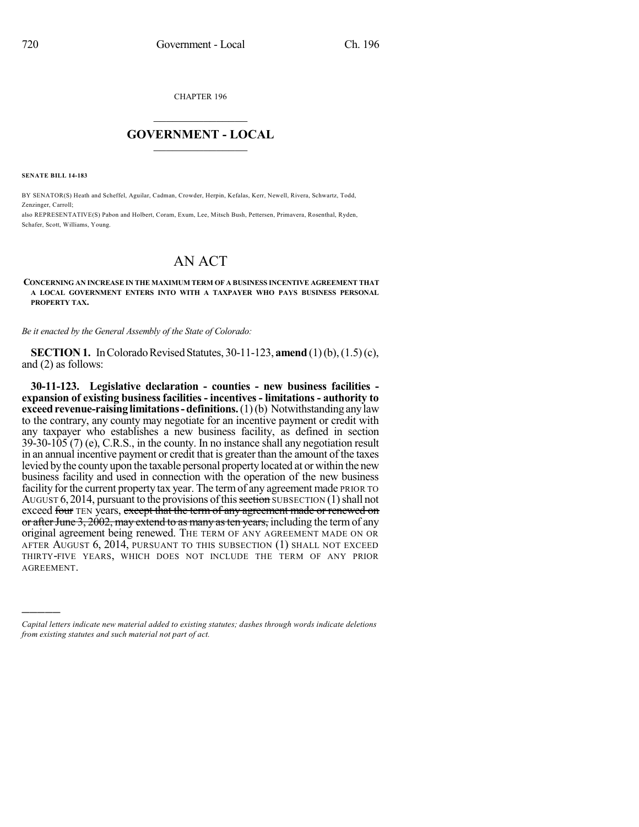CHAPTER 196

## $\mathcal{L}_\text{max}$  . The set of the set of the set of the set of the set of the set of the set of the set of the set of the set of the set of the set of the set of the set of the set of the set of the set of the set of the set **GOVERNMENT - LOCAL**  $\_$

**SENATE BILL 14-183**

)))))

BY SENATOR(S) Heath and Scheffel, Aguilar, Cadman, Crowder, Herpin, Kefalas, Kerr, Newell, Rivera, Schwartz, Todd, Zenzinger, Carroll;

also REPRESENTATIVE(S) Pabon and Holbert, Coram, Exum, Lee, Mitsch Bush, Pettersen, Primavera, Rosenthal, Ryden, Schafer, Scott, Williams, Young.

## AN ACT

## **CONCERNING AN INCREASE IN THE MAXIMUM TERM OF A BUSINESS INCENTIVE AGREEMENT THAT A LOCAL GOVERNMENT ENTERS INTO WITH A TAXPAYER WHO PAYS BUSINESS PERSONAL PROPERTY TAX.**

*Be it enacted by the General Assembly of the State of Colorado:*

**SECTION 1.** In Colorado Revised Statutes, 30-11-123, **amend** (1)(b), (1.5)(c), and (2) as follows:

**30-11-123. Legislative declaration - counties - new business facilities expansion of existing businessfacilities - incentives - limitations - authority to exceed revenue-raising limitations - definitions.** (1)(b) Notwithstanding any law to the contrary, any county may negotiate for an incentive payment or credit with any taxpayer who establishes a new business facility, as defined in section 39-30-105 (7) (e), C.R.S., in the county. In no instance shall any negotiation result in an annual incentive payment or credit that is greater than the amount of the taxes levied bythe county upon the taxable personal property located at or within the new business facility and used in connection with the operation of the new business facility for the current property tax year. The termof any agreement made PRIOR TO AUGUST  $6, 2014$ , pursuant to the provisions of this section SUBSECTION (1) shall not exceed four TEN years, except that the term of any agreement made or renewed on or after June 3, 2002, may extend to as many as ten years, including the term of any original agreement being renewed. THE TERM OF ANY AGREEMENT MADE ON OR AFTER AUGUST 6, 2014, PURSUANT TO THIS SUBSECTION (1) SHALL NOT EXCEED THIRTY-FIVE YEARS, WHICH DOES NOT INCLUDE THE TERM OF ANY PRIOR AGREEMENT.

*Capital letters indicate new material added to existing statutes; dashes through words indicate deletions from existing statutes and such material not part of act.*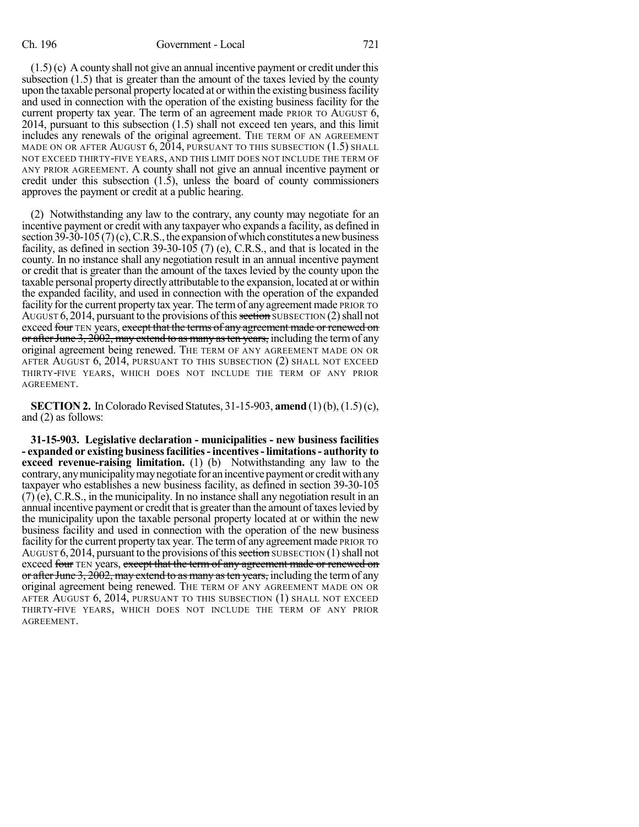(1.5)(c) A county shall not give an annual incentive payment or credit under this subsection (1.5) that is greater than the amount of the taxes levied by the county upon the taxable personal property located at or within the existing businessfacility and used in connection with the operation of the existing business facility for the current property tax year. The term of an agreement made PRIOR TO AUGUST 6, 2014, pursuant to this subsection (1.5) shall not exceed ten years, and this limit includes any renewals of the original agreement. THE TERM OF AN AGREEMENT MADE ON OR AFTER AUGUST 6, 2014, PURSUANT TO THIS SUBSECTION (1.5) SHALL NOT EXCEED THIRTY-FIVE YEARS, AND THIS LIMIT DOES NOT INCLUDE THE TERM OF ANY PRIOR AGREEMENT. A county shall not give an annual incentive payment or credit under this subsection (1.5), unless the board of county commissioners approves the payment or credit at a public hearing.

(2) Notwithstanding any law to the contrary, any county may negotiate for an incentive payment or credit with any taxpayer who expands a facility, as defined in section  $39-30-105$  (7)(c), C.R.S., the expansion of which constitutes a new business facility, as defined in section 39-30-105 (7) (e), C.R.S., and that is located in the county. In no instance shall any negotiation result in an annual incentive payment or credit that is greater than the amount of the taxes levied by the county upon the taxable personal property directly attributable to the expansion, located at or within the expanded facility, and used in connection with the operation of the expanded facility for the current property tax year. The termof any agreement made PRIOR TO AUGUST 6, 2014, pursuant to the provisions of this section SUBSECTION (2) shall not exceed four TEN years, except that the terms of any agreement made or renewed on or after June 3, 2002, may extend to as many as ten years, including the term of any original agreement being renewed. THE TERM OF ANY AGREEMENT MADE ON OR AFTER AUGUST 6, 2014, PURSUANT TO THIS SUBSECTION (2) SHALL NOT EXCEED THIRTY-FIVE YEARS, WHICH DOES NOT INCLUDE THE TERM OF ANY PRIOR AGREEMENT.

**SECTION 2.** In Colorado Revised Statutes, 31-15-903, **amend** (1)(b), (1.5)(c), and (2) as follows:

**31-15-903. Legislative declaration - municipalities - new business facilities - expanded or existing businessfacilities-incentives-limitations- authority to exceed revenue-raising limitation.** (1) (b) Notwithstanding any law to the contrary, anymunicipalitymaynegotiate for anincentivepaymentor creditwithany taxpayer who establishes a new business facility, as defined in section 39-30-105 (7) (e), C.R.S., in the municipality. In no instance shall any negotiation result in an annual incentive payment or credit that is greater than the amount of taxes levied by the municipality upon the taxable personal property located at or within the new business facility and used in connection with the operation of the new business facility for the current property tax year. The termof any agreement made PRIOR TO AUGUST 6, 2014, pursuant to the provisions of this section SUBSECTION  $(1)$  shall not exceed four TEN years, except that the term of any agreement made or renewed on or after June 3, 2002, may extend to as many as ten years, including the term of any original agreement being renewed. THE TERM OF ANY AGREEMENT MADE ON OR AFTER AUGUST 6, 2014, PURSUANT TO THIS SUBSECTION (1) SHALL NOT EXCEED THIRTY-FIVE YEARS, WHICH DOES NOT INCLUDE THE TERM OF ANY PRIOR AGREEMENT.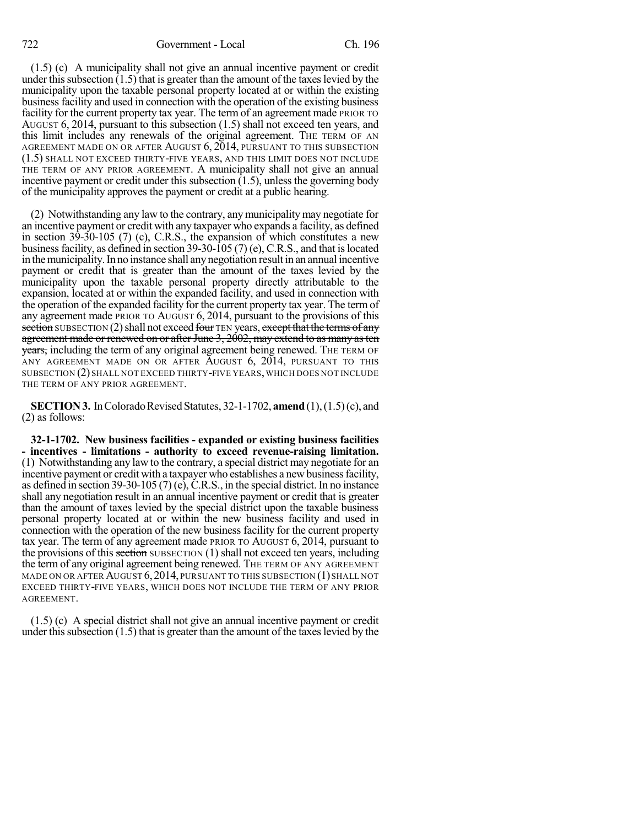(1.5) (c) A municipality shall not give an annual incentive payment or credit under this subsection  $(1.5)$  that is greater than the amount of the taxes levied by the municipality upon the taxable personal property located at or within the existing businessfacility and used in connection with the operation of the existing business facility for the current property tax year. The term of an agreement made PRIOR TO AUGUST 6, 2014, pursuant to this subsection (1.5) shall not exceed ten years, and this limit includes any renewals of the original agreement. The TERM OF AN AGREEMENT MADE ON OR AFTER AUGUST 6, 2014, PURSUANT TO THIS SUBSECTION (1.5) SHALL NOT EXCEED THIRTY-FIVE YEARS, AND THIS LIMIT DOES NOT INCLUDE THE TERM OF ANY PRIOR AGREEMENT. A municipality shall not give an annual incentive payment or credit under this subsection  $(1.5)$ , unless the governing body of the municipality approves the payment or credit at a public hearing.

(2) Notwithstanding any law to the contrary, anymunicipality may negotiate for an incentive payment or credit with any taxpayer who expands a facility, as defined in section 39-30-105 (7) (c), C.R.S., the expansion of which constitutes a new business facility, as defined in section 39-30-105 (7) (e), C.R.S., and that is located in the municipality. In no instance shall any negotiation result in an annual incentive payment or credit that is greater than the amount of the taxes levied by the municipality upon the taxable personal property directly attributable to the expansion, located at or within the expanded facility, and used in connection with the operation of the expanded facility for the current property tax year. The term of any agreement made PRIOR TO AUGUST 6, 2014, pursuant to the provisions of this section SUBSECTION  $(2)$  shall not exceed four TEN years, except that the terms of any agreement made or renewed on or after June 3, 2002, may extend to as many as ten **years, including the term of any original agreement being renewed.** THE TERM OF ANY AGREEMENT MADE ON OR AFTER AUGUST 6, 2014, PURSUANT TO THIS SUBSECTION (2) SHALL NOT EXCEED THIRTY-FIVE YEARS, WHICH DOES NOT INCLUDE THE TERM OF ANY PRIOR AGREEMENT.

**SECTION 3.** In Colorado Revised Statutes, 32-1-1702, **amend** (1), (1.5) (c), and (2) as follows:

**32-1-1702. New business facilities - expanded or existing business facilities - incentives - limitations - authority to exceed revenue-raising limitation.** (1) Notwithstanding any law to the contrary, a special district may negotiate for an incentive payment or credit with a taxpayer who establishes a new business facility, as defined in section 39-30-105 (7) (e), C.R.S., in the special district. In no instance shall any negotiation result in an annual incentive payment or credit that is greater than the amount of taxes levied by the special district upon the taxable business personal property located at or within the new business facility and used in connection with the operation of the new business facility for the current property tax year. The term of any agreement made PRIOR TO AUGUST 6, 2014, pursuant to the provisions of this section  $SUBSECTION (1)$  shall not exceed ten years, including the term of any original agreement being renewed. THE TERM OF ANY AGREEMENT MADE ON OR AFTER AUGUST 6,2014, PURSUANT TO THIS SUBSECTION (1) SHALL NOT EXCEED THIRTY-FIVE YEARS, WHICH DOES NOT INCLUDE THE TERM OF ANY PRIOR AGREEMENT.

(1.5) (c) A special district shall not give an annual incentive payment or credit under this subsection  $(1.5)$  that is greater than the amount of the taxes levied by the